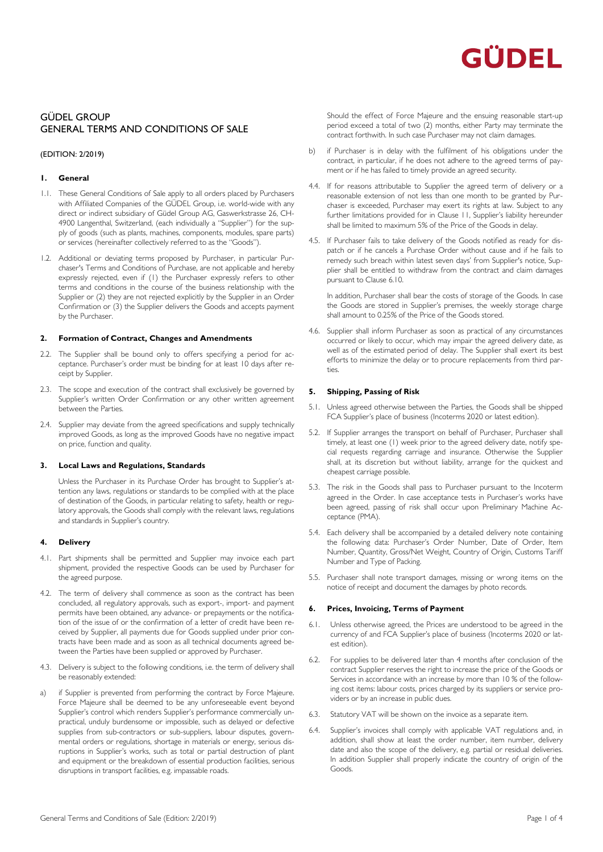

# GÜDEL GROUP GENERAL TERMS AND CONDITIONS OF SALE

### (EDITION: 2/2019)

### **1. General**

- 1.1. These General Conditions of Sale apply to all orders placed by Purchasers with Affiliated Companies of the GÜDEL Group, i.e. world-wide with any direct or indirect subsidiary of Güdel Group AG, Gaswerkstrasse 26, CH-4900 Langenthal, Switzerland, (each individually a "Supplier") for the supply of goods (such as plants, machines, components, modules, spare parts) or services (hereinafter collectively referred to as the "Goods").
- 1.2. Additional or deviating terms proposed by Purchaser, in particular Purchaser's Terms and Conditions of Purchase, are not applicable and hereby expressly rejected, even if (1) the Purchaser expressly refers to other terms and conditions in the course of the business relationship with the Supplier or (2) they are not rejected explicitly by the Supplier in an Order Confirmation or (3) the Supplier delivers the Goods and accepts payment by the Purchaser.

### **2. Formation of Contract, Changes and Amendments**

- 2.2. The Supplier shall be bound only to offers specifying a period for acceptance. Purchaser's order must be binding for at least 10 days after receipt by Supplier.
- 2.3. The scope and execution of the contract shall exclusively be governed by Supplier's written Order Confirmation or any other written agreement between the Parties.
- 2.4. Supplier may deviate from the agreed specifications and supply technically improved Goods, as long as the improved Goods have no negative impact on price, function and quality.

### **3. Local Laws and Regulations, Standards**

Unless the Purchaser in its Purchase Order has brought to Supplier's attention any laws, regulations or standards to be complied with at the place of destination of the Goods, in particular relating to safety, health or regulatory approvals, the Goods shall comply with the relevant laws, regulations and standards in Supplier's country.

### **4. Delivery**

- 4.1. Part shipments shall be permitted and Supplier may invoice each part shipment, provided the respective Goods can be used by Purchaser for the agreed purpose.
- 4.2. The term of delivery shall commence as soon as the contract has been concluded, all regulatory approvals, such as export-, import- and payment permits have been obtained, any advance- or prepayments or the notification of the issue of or the confirmation of a letter of credit have been received by Supplier, all payments due for Goods supplied under prior contracts have been made and as soon as all technical documents agreed between the Parties have been supplied or approved by Purchaser.
- 4.3. Delivery is subject to the following conditions, i.e. the term of delivery shall be reasonably extended:
- a) if Supplier is prevented from performing the contract by Force Majeure. Force Majeure shall be deemed to be any unforeseeable event beyond Supplier's control which renders Supplier's performance commercially unpractical, unduly burdensome or impossible, such as delayed or defective supplies from sub-contractors or sub-suppliers, labour disputes, governmental orders or regulations, shortage in materials or energy, serious disruptions in Supplier's works, such as total or partial destruction of plant and equipment or the breakdown of essential production facilities, serious disruptions in transport facilities, e.g. impassable roads.

Should the effect of Force Majeure and the ensuing reasonable start-up period exceed a total of two (2) months, either Party may terminate the contract forthwith. In such case Purchaser may not claim damages.

- b) if Purchaser is in delay with the fulfilment of his obligations under the contract, in particular, if he does not adhere to the agreed terms of payment or if he has failed to timely provide an agreed security.
- 4.4. If for reasons attributable to Supplier the agreed term of delivery or a reasonable extension of not less than one month to be granted by Purchaser is exceeded, Purchaser may exert its rights at law. Subject to any further limitations provided for in Clause 11, Supplier's liability hereunder shall be limited to maximum 5% of the Price of the Goods in delay.
- 4.5. If Purchaser fails to take delivery of the Goods notified as ready for dispatch or if he cancels a Purchase Order without cause and if he fails to remedy such breach within latest seven days' from Supplier's notice, Supplier shall be entitled to withdraw from the contract and claim damages pursuant to Clause 6.10.

In addition, Purchaser shall bear the costs of storage of the Goods. In case the Goods are stored in Supplier's premises, the weekly storage charge shall amount to 0.25% of the Price of the Goods stored.

4.6. Supplier shall inform Purchaser as soon as practical of any circumstances occurred or likely to occur, which may impair the agreed delivery date, as well as of the estimated period of delay. The Supplier shall exert its best efforts to minimize the delay or to procure replacements from third parties.

### **5. Shipping, Passing of Risk**

- 5.1. Unless agreed otherwise between the Parties, the Goods shall be shipped FCA Supplier's place of business (Incoterms 2020 or latest edition).
- 5.2. If Supplier arranges the transport on behalf of Purchaser, Purchaser shall timely, at least one (1) week prior to the agreed delivery date, notify special requests regarding carriage and insurance. Otherwise the Supplier shall, at its discretion but without liability, arrange for the quickest and cheapest carriage possible.
- 5.3. The risk in the Goods shall pass to Purchaser pursuant to the Incoterm agreed in the Order. In case acceptance tests in Purchaser's works have been agreed, passing of risk shall occur upon Preliminary Machine Acceptance (PMA).
- 5.4. Each delivery shall be accompanied by a detailed delivery note containing the following data: Purchaser's Order Number, Date of Order, Item Number, Quantity, Gross/Net Weight, Country of Origin, Customs Tariff Number and Type of Packing.
- 5.5. Purchaser shall note transport damages, missing or wrong items on the notice of receipt and document the damages by photo records.

### **6. Prices, Invoicing, Terms of Payment**

- 6.1. Unless otherwise agreed, the Prices are understood to be agreed in the currency of and FCA Supplier's place of business (Incoterms 2020 or latest edition).
- 6.2. For supplies to be delivered later than 4 months after conclusion of the contract Supplier reserves the right to increase the price of the Goods or Services in accordance with an increase by more than 10 % of the following cost items: labour costs, prices charged by its suppliers or service providers or by an increase in public dues.
- 6.3. Statutory VAT will be shown on the invoice as a separate item.
- 6.4. Supplier's invoices shall comply with applicable VAT regulations and, in addition, shall show at least the order number, item number, delivery date and also the scope of the delivery, e.g. partial or residual deliveries. In addition Supplier shall properly indicate the country of origin of the Goods.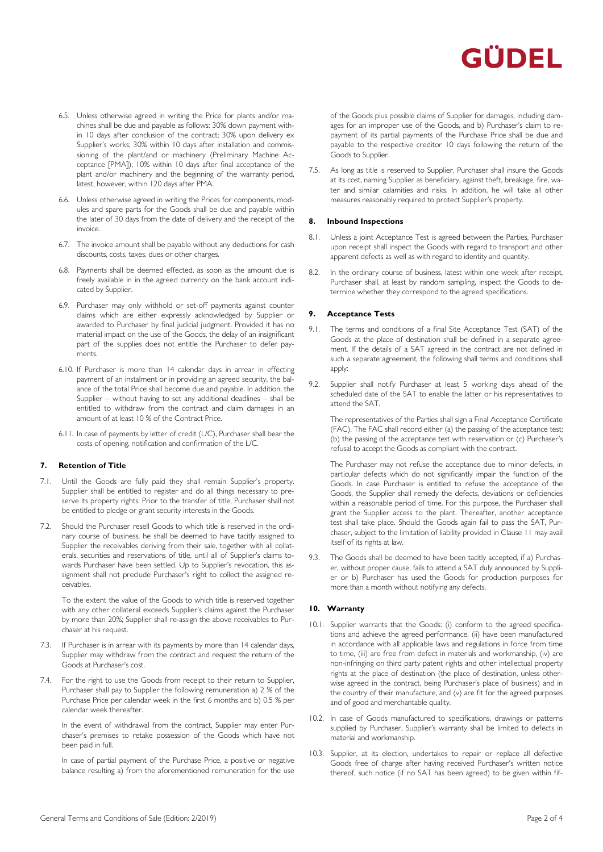

- 6.5. Unless otherwise agreed in writing the Price for plants and/or machines shall be due and payable as follows: 30% down payment within 10 days after conclusion of the contract; 30% upon delivery ex Supplier's works; 30% within 10 days after installation and commissioning of the plant/and or machinery (Preliminary Machine Acceptance [PMA]); 10% within 10 days after final acceptance of the plant and/or machinery and the beginning of the warranty period, latest, however, within 120 days after PMA.
- 6.6. Unless otherwise agreed in writing the Prices for components, modules and spare parts for the Goods shall be due and payable within the later of 30 days from the date of delivery and the receipt of the invoice.
- 6.7. The invoice amount shall be payable without any deductions for cash discounts, costs, taxes, dues or other charges.
- 6.8. Payments shall be deemed effected, as soon as the amount due is freely available in in the agreed currency on the bank account indicated by Supplier.
- 6.9. Purchaser may only withhold or set-off payments against counter claims which are either expressly acknowledged by Supplier or awarded to Purchaser by final judicial judgment. Provided it has no material impact on the use of the Goods, the delay of an insignificant part of the supplies does not entitle the Purchaser to defer payments.
- 6.10. If Purchaser is more than 14 calendar days in arrear in effecting payment of an instalment or in providing an agreed security, the balance of the total Price shall become due and payable. In addition, the Supplier – without having to set any additional deadlines – shall be entitled to withdraw from the contract and claim damages in an amount of at least 10 % of the Contract Price.
- 6.11. In case of payments by letter of credit (L/C), Purchaser shall bear the costs of opening, notification and confirmation of the L/C.

### **7. Retention of Title**

- 7.1. Until the Goods are fully paid they shall remain Supplier's property. Supplier shall be entitled to register and do all things necessary to preserve its property rights. Prior to the transfer of title, Purchaser shall not be entitled to pledge or grant security interests in the Goods.
- 7.2. Should the Purchaser resell Goods to which title is reserved in the ordinary course of business, he shall be deemed to have tacitly assigned to Supplier the receivables deriving from their sale, together with all collaterals, securities and reservations of title, until all of Supplier's claims towards Purchaser have been settled. Up to Supplier's revocation, this assignment shall not preclude Purchaser's right to collect the assigned receivables.

To the extent the value of the Goods to which title is reserved together with any other collateral exceeds Supplier's claims against the Purchaser by more than 20%; Supplier shall re-assign the above receivables to Purchaser at his request.

- 7.3. If Purchaser is in arrear with its payments by more than 14 calendar days, Supplier may withdraw from the contract and request the return of the Goods at Purchaser's cost.
- 7.4. For the right to use the Goods from receipt to their return to Supplier, Purchaser shall pay to Supplier the following remuneration a) 2 % of the Purchase Price per calendar week in the first 6 months and b) 0.5 % per calendar week thereafter.

In the event of withdrawal from the contract, Supplier may enter Purchaser's premises to retake possession of the Goods which have not been paid in full.

In case of partial payment of the Purchase Price, a positive or negative balance resulting a) from the aforementioned remuneration for the use of the Goods plus possible claims of Supplier for damages, including damages for an improper use of the Goods, and b) Purchaser's claim to repayment of its partial payments of the Purchase Price shall be due and payable to the respective creditor 10 days following the return of the Goods to Supplier.

7.5. As long as title is reserved to Supplier, Purchaser shall insure the Goods at its cost, naming Supplier as beneficiary, against theft, breakage, fire, water and similar calamities and risks. In addition, he will take all other measures reasonably required to protect Supplier's property.

### **8. Inbound Inspections**

- 8.1. Unless a joint Acceptance Test is agreed between the Parties, Purchaser upon receipt shall inspect the Goods with regard to transport and other apparent defects as well as with regard to identity and quantity.
- 8.2. In the ordinary course of business, latest within one week after receipt, Purchaser shall, at least by random sampling, inspect the Goods to determine whether they correspond to the agreed specifications.

### **9. Acceptance Tests**

- 9.1. The terms and conditions of a final Site Acceptance Test (SAT) of the Goods at the place of destination shall be defined in a separate agreement. If the details of a SAT agreed in the contract are not defined in such a separate agreement, the following shall terms and conditions shall apply:
- 9.2. Supplier shall notify Purchaser at least 5 working days ahead of the scheduled date of the SAT to enable the latter or his representatives to attend the SAT.

The representatives of the Parties shall sign a Final Acceptance Certificate (FAC). The FAC shall record either (a) the passing of the acceptance test; (b) the passing of the acceptance test with reservation or (c) Purchaser's refusal to accept the Goods as compliant with the contract.

The Purchaser may not refuse the acceptance due to minor defects, in particular defects which do not significantly impair the function of the Goods. In case Purchaser is entitled to refuse the acceptance of the Goods, the Supplier shall remedy the defects, deviations or deficiencies within a reasonable period of time. For this purpose, the Purchaser shall grant the Supplier access to the plant. Thereafter, another acceptance test shall take place. Should the Goods again fail to pass the SAT, Purchaser, subject to the limitation of liability provided in Clause 11 may avail itself of its rights at law.

9.3. The Goods shall be deemed to have been tacitly accepted, if a) Purchaser, without proper cause, fails to attend a SAT duly announced by Supplier or b) Purchaser has used the Goods for production purposes for more than a month without notifying any defects.

### **10. Warranty**

- 10.1. Supplier warrants that the Goods: (i) conform to the agreed specifications and achieve the agreed performance, (ii) have been manufactured in accordance with all applicable laws and regulations in force from time to time, (iii) are free from defect in materials and workmanship, (iv) are non-infringing on third party patent rights and other intellectual property rights at the place of destination (the place of destination, unless otherwise agreed in the contract, being Purchaser's place of business) and in the country of their manufacture, and (v) are fit for the agreed purposes and of good and merchantable quality.
- 10.2. In case of Goods manufactured to specifications, drawings or patterns supplied by Purchaser, Supplier's warranty shall be limited to defects in material and workmanship.
- 10.3. Supplier, at its election, undertakes to repair or replace all defective Goods free of charge after having received Purchaser's written notice thereof, such notice (if no SAT has been agreed) to be given within fif-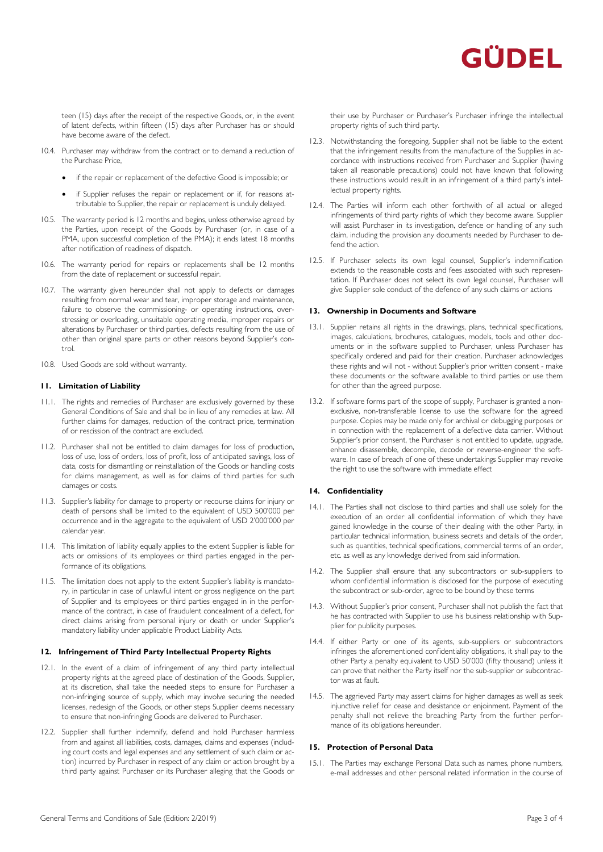# GÜDEL

teen (15) days after the receipt of the respective Goods, or, in the event of latent defects, within fifteen (15) days after Purchaser has or should have become aware of the defect.

- 10.4. Purchaser may withdraw from the contract or to demand a reduction of the Purchase Price,
	- if the repair or replacement of the defective Good is impossible; or
	- if Supplier refuses the repair or replacement or if, for reasons attributable to Supplier, the repair or replacement is unduly delayed.
- 10.5. The warranty period is 12 months and begins, unless otherwise agreed by the Parties, upon receipt of the Goods by Purchaser (or, in case of a PMA, upon successful completion of the PMA); it ends latest 18 months after notification of readiness of dispatch.
- 10.6. The warranty period for repairs or replacements shall be 12 months from the date of replacement or successful repair.
- 10.7. The warranty given hereunder shall not apply to defects or damages resulting from normal wear and tear, improper storage and maintenance, failure to observe the commissioning- or operating instructions, overstressing or overloading, unsuitable operating media, improper repairs or alterations by Purchaser or third parties, defects resulting from the use of other than original spare parts or other reasons beyond Supplier's control.
- 10.8. Used Goods are sold without warranty.

# **11. Limitation of Liability**

- 11.1. The rights and remedies of Purchaser are exclusively governed by these General Conditions of Sale and shall be in lieu of any remedies at law. All further claims for damages, reduction of the contract price, termination of or rescission of the contract are excluded.
- 11.2. Purchaser shall not be entitled to claim damages for loss of production, loss of use, loss of orders, loss of profit, loss of anticipated savings, loss of data, costs for dismantling or reinstallation of the Goods or handling costs for claims management, as well as for claims of third parties for such damages or costs.
- 11.3. Supplier's liability for damage to property or recourse claims for injury or death of persons shall be limited to the equivalent of USD 500'000 per occurrence and in the aggregate to the equivalent of USD 2'000'000 per calendar year.
- 11.4. This limitation of liability equally applies to the extent Supplier is liable for acts or omissions of its employees or third parties engaged in the performance of its obligations.
- 11.5. The limitation does not apply to the extent Supplier's liability is mandatory, in particular in case of unlawful intent or gross negligence on the part of Supplier and its employees or third parties engaged in in the performance of the contract, in case of fraudulent concealment of a defect, for direct claims arising from personal injury or death or under Supplier's mandatory liability under applicable Product Liability Acts.

# **12. Infringement of Third Party Intellectual Property Rights**

- 12.1. In the event of a claim of infringement of any third party intellectual property rights at the agreed place of destination of the Goods, Supplier, at its discretion, shall take the needed steps to ensure for Purchaser a non-infringing source of supply, which may involve securing the needed licenses, redesign of the Goods, or other steps Supplier deems necessary to ensure that non-infringing Goods are delivered to Purchaser.
- 12.2. Supplier shall further indemnify, defend and hold Purchaser harmless from and against all liabilities, costs, damages, claims and expenses (including court costs and legal expenses and any settlement of such claim or action) incurred by Purchaser in respect of any claim or action brought by a third party against Purchaser or its Purchaser alleging that the Goods or

their use by Purchaser or Purchaser's Purchaser infringe the intellectual property rights of such third party.

- 12.3. Notwithstanding the foregoing, Supplier shall not be liable to the extent that the infringement results from the manufacture of the Supplies in accordance with instructions received from Purchaser and Supplier (having taken all reasonable precautions) could not have known that following these instructions would result in an infringement of a third party's intellectual property rights.
- 12.4. The Parties will inform each other forthwith of all actual or alleged infringements of third party rights of which they become aware. Supplier will assist Purchaser in its investigation, defence or handling of any such claim, including the provision any documents needed by Purchaser to defend the action.
- 12.5. If Purchaser selects its own legal counsel, Supplier's indemnification extends to the reasonable costs and fees associated with such representation. If Purchaser does not select its own legal counsel, Purchaser will give Supplier sole conduct of the defence of any such claims or actions

### **13. Ownership in Documents and Software**

- 13.1. Supplier retains all rights in the drawings, plans, technical specifications, images, calculations, brochures, catalogues, models, tools and other documents or in the software supplied to Purchaser, unless Purchaser has specifically ordered and paid for their creation. Purchaser acknowledges these rights and will not - without Supplier's prior written consent - make these documents or the software available to third parties or use them for other than the agreed purpose.
- 13.2. If software forms part of the scope of supply, Purchaser is granted a nonexclusive, non-transferable license to use the software for the agreed purpose. Copies may be made only for archival or debugging purposes or in connection with the replacement of a defective data carrier. Without Supplier's prior consent, the Purchaser is not entitled to update, upgrade, enhance disassemble, decompile, decode or reverse-engineer the software. In case of breach of one of these undertakings Supplier may revoke the right to use the software with immediate effect

# **14. Confidentiality**

- 14.1. The Parties shall not disclose to third parties and shall use solely for the execution of an order all confidential information of which they have gained knowledge in the course of their dealing with the other Party, in particular technical information, business secrets and details of the order, such as quantities, technical specifications, commercial terms of an order, etc. as well as any knowledge derived from said information.
- 14.2. The Supplier shall ensure that any subcontractors or sub-suppliers to whom confidential information is disclosed for the purpose of executing the subcontract or sub-order, agree to be bound by these terms
- 14.3. Without Supplier's prior consent, Purchaser shall not publish the fact that he has contracted with Supplier to use his business relationship with Supplier for publicity purposes.
- 14.4. If either Party or one of its agents, sub-suppliers or subcontractors infringes the aforementioned confidentiality obligations, it shall pay to the other Party a penalty equivalent to USD 50'000 (fifty thousand) unless it can prove that neither the Party itself nor the sub-supplier or subcontractor was at fault.
- 14.5. The aggrieved Party may assert claims for higher damages as well as seek injunctive relief for cease and desistance or enjoinment. Payment of the penalty shall not relieve the breaching Party from the further performance of its obligations hereunder.

# **15. Protection of Personal Data**

15.1. The Parties may exchange Personal Data such as names, phone numbers, e-mail addresses and other personal related information in the course of